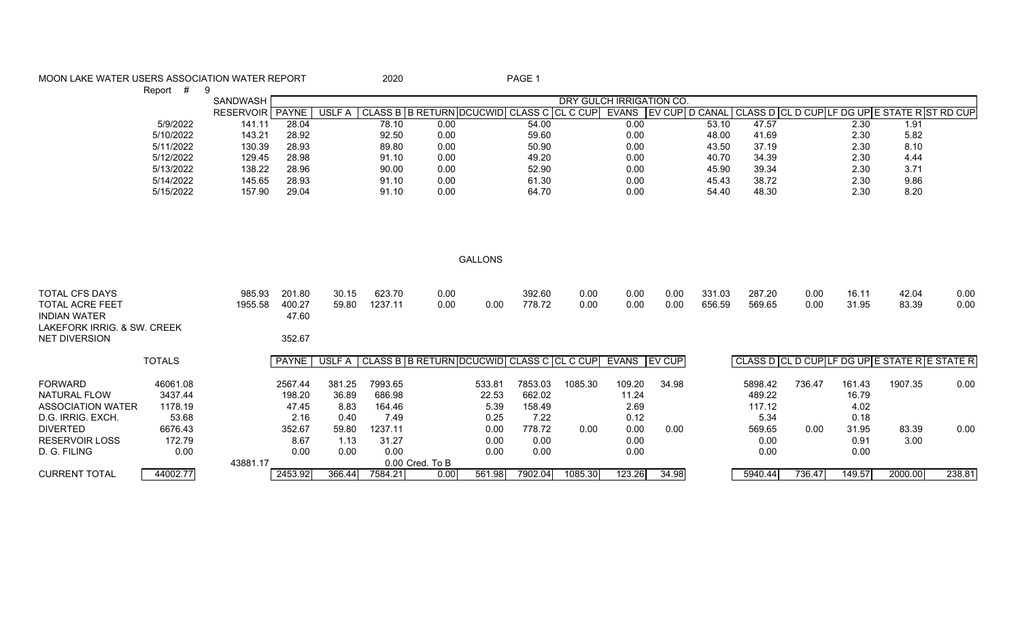| MOON LAKE WATER USERS ASSOCIATION WATER REPORT                         |                   |                           |                | 2020              |                                                 |                | PAGE 1           |              |                          |              |                  |                                               |              |                |                |              |
|------------------------------------------------------------------------|-------------------|---------------------------|----------------|-------------------|-------------------------------------------------|----------------|------------------|--------------|--------------------------|--------------|------------------|-----------------------------------------------|--------------|----------------|----------------|--------------|
| Report #                                                               | -9                |                           |                |                   |                                                 |                |                  |              |                          |              |                  |                                               |              |                |                |              |
|                                                                        | SANDWASH          |                           |                |                   |                                                 |                |                  |              | DRY GULCH IRRIGATION CO. |              |                  |                                               |              |                |                |              |
|                                                                        | RESERVOIR PAYNE   |                           | USLF A         |                   | <b>CLASS B B RETURN DCUCWID</b>                 |                | CLASS C CL C CUP |              | EVANS EV CUP D CANAL     |              |                  | CLASS D CL D CUP LF DG UP E STATE R ST RD CUP |              |                |                |              |
| 5/9/2022                                                               | 141.11            | 28.04                     |                | 78.10             | 0.00                                            |                | 54.00            |              | 0.00                     |              | 53.10            | 47.57                                         |              | 2.30           | 1.91           |              |
| 5/10/2022                                                              | 143.21            | 28.92                     |                | 92.50             | 0.00                                            |                | 59.60            |              | 0.00                     |              | 48.00            | 41.69                                         |              | 2.30           | 5.82           |              |
| 5/11/2022                                                              | 130.39            | 28.93                     |                | 89.80             | 0.00                                            |                | 50.90            |              | 0.00                     |              | 43.50            | 37.19                                         |              | 2.30           | 8.10           |              |
| 5/12/2022                                                              | 129.45            | 28.98                     |                | 91.10             | 0.00                                            |                | 49.20            |              | 0.00                     |              | 40.70            | 34.39                                         |              | 2.30           | 4.44           |              |
| 5/13/2022                                                              | 138.22            | 28.96                     |                | 90.00             | 0.00                                            |                | 52.90            |              | 0.00                     |              | 45.90            | 39.34                                         |              | 2.30           | 3.71           |              |
| 5/14/2022                                                              | 145.65            | 28.93                     |                | 91.10             | 0.00                                            |                | 61.30            |              | 0.00                     |              | 45.43            | 38.72                                         |              | 2.30           | 9.86           |              |
| 5/15/2022                                                              | 157.90            | 29.04                     |                | 91.10             | 0.00                                            |                | 64.70            |              | 0.00                     |              | 54.40            | 48.30                                         |              | 2.30           | 8.20           |              |
|                                                                        |                   |                           |                |                   |                                                 | <b>GALLONS</b> |                  |              |                          |              |                  |                                               |              |                |                |              |
|                                                                        |                   |                           |                |                   |                                                 |                |                  |              |                          |              |                  |                                               |              |                |                |              |
| <b>TOTAL CFS DAYS</b><br><b>TOTAL ACRE FEET</b><br><b>INDIAN WATER</b> | 985.93<br>1955.58 | 201.80<br>400.27<br>47.60 | 30.15<br>59.80 | 623.70<br>1237.11 | 0.00<br>0.00                                    | 0.00           | 392.60<br>778.72 | 0.00<br>0.00 | 0.00<br>0.00             | 0.00<br>0.00 | 331.03<br>656.59 | 287.20<br>569.65                              | 0.00<br>0.00 | 16.11<br>31.95 | 42.04<br>83.39 | 0.00<br>0.00 |
| LAKEFORK IRRIG. & SW. CREEK<br><b>NET DIVERSION</b>                    |                   | 352.67                    |                |                   |                                                 |                |                  |              |                          |              |                  |                                               |              |                |                |              |
| <b>TOTALS</b>                                                          |                   | PAYNE                     | USLF A         |                   | CLASS B   B RETURN DCUCWID   CLASS C   CL C CUP |                |                  |              | EVANS EV CUP             |              |                  | CLASS D CL D CUPLE DG UPLE STATE RESTATE R    |              |                |                |              |
| <b>FORWARD</b><br>46061.08                                             |                   | 2567.44                   | 381.25         | 7993.65           |                                                 | 533.81         | 7853.03          | 1085.30      | 109.20                   | 34.98        |                  | 5898.42                                       | 736.47       | 161.43         | 1907.35        | 0.00         |
| <b>NATURAL FLOW</b><br>3437.44                                         |                   | 198.20                    | 36.89          | 686.98            |                                                 | 22.53          | 662.02           |              | 11.24                    |              |                  | 489.22                                        |              | 16.79          |                |              |
| 1178.19<br><b>ASSOCIATION WATER</b>                                    |                   | 47.45                     | 8.83           | 164.46            |                                                 | 5.39           | 158.49           |              | 2.69                     |              |                  | 117.12                                        |              | 4.02           |                |              |
| 53.68<br>D.G. IRRIG. EXCH.                                             |                   | 2.16                      | 0.40           | 7.49              |                                                 | 0.25           | 7.22             |              | 0.12                     |              |                  | 5.34                                          |              | 0.18           |                |              |
| <b>DIVERTED</b><br>6676.43                                             |                   | 352.67                    | 59.80          | 1237.11           |                                                 | 0.00           | 778.72           | 0.00         | 0.00                     | 0.00         |                  | 569.65                                        | 0.00         | 31.95          | 83.39          | 0.00         |
| <b>RESERVOIR LOSS</b><br>172.79                                        |                   | 8.67                      | 1.13           | 31.27             |                                                 | 0.00           | 0.00             |              | 0.00                     |              |                  | 0.00                                          |              | 0.91           | 3.00           |              |
| D. G. FILING                                                           |                   |                           |                |                   |                                                 |                |                  |              |                          |              |                  |                                               |              |                |                |              |
|                                                                        |                   |                           |                |                   |                                                 |                |                  |              |                          |              |                  |                                               |              |                |                |              |
|                                                                        | 0.00<br>43881.17  | 0.00                      | 0.00           | 0.00              | 0.00 Cred. To B                                 | 0.00           | 0.00             |              | 0.00                     |              |                  | 0.00                                          |              | 0.00           |                |              |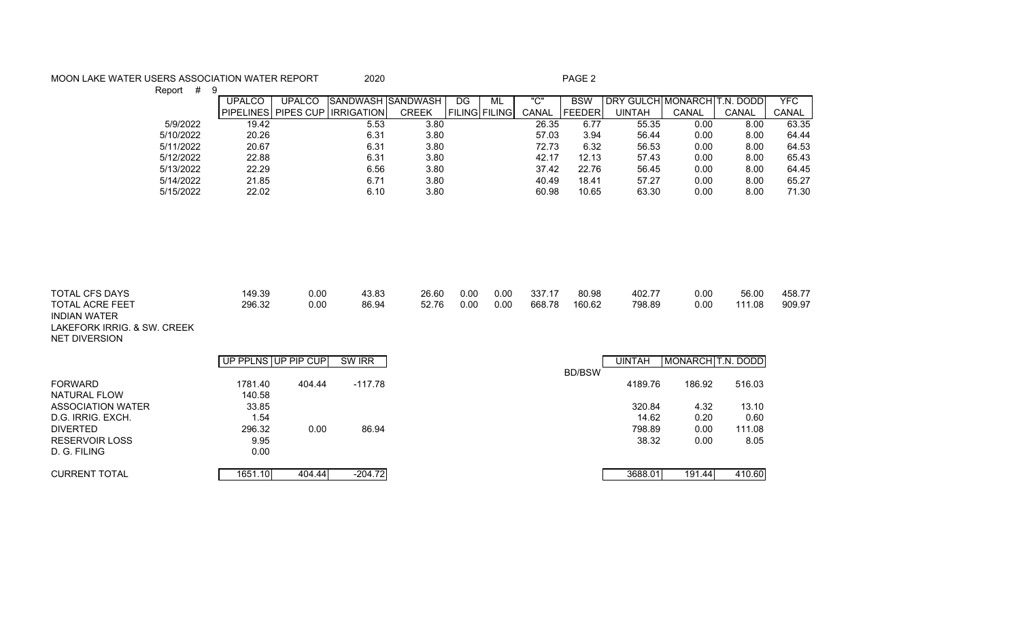## MOON LAKE WATER USERS ASSOCIATION WATER REPORT 2020 2020 PAGE 2

Report # 9 UPALCO | UPALCO SANDWASH SANDWASH | DG | ML | "C" | BSW | DRY GULCH MONARCH T.N. DODD | YFC PIPELINES PIPES CUP IRRIGATION CREEK FILING FILING CANAL FEEDER UINTAH CANAL CANAL CANAL 5/9/2022 19.42 5.53 3.80 26.35 6.77 55.35 0.00 8.00 63.35 5/10/2022 20.26 6.31 3.80 57.03 3.94 56.44 0.00 8.00 64.44 5/11/2022 20.67 6.31 3.80 72.73 6.32 56.53 0.00 8.00 64.53 5/12/2022 22.88 6.31 3.80 42.17 12.13 57.43 0.00 8.00 65.43 5/13/2022 22.29 6.56 3.80 37.42 22.76 56.45 0.00 8.00 64.45 5/14/2022 21.85 6.71 3.80 40.49 18.41 57.27 0.00 8.00 65.27 5/15/2022 22.02 6.10 3.80 60.98 10.65 63.30 0.00 8.00 71.30

| <b>TOTAL CFS DAYS</b><br><b>TOTAL ACRE FEET</b><br><b>INDIAN WATER</b><br>LAKEFORK IRRIG. & SW. CREEK<br><b>NET DIVERSION</b> | 149.39<br>296.32    | 0.00<br>0.00 | 43.83<br>86.94 | 26.60<br>52.76 | 0.00<br>0.00 | 0.00<br>0.00 | 337.17<br>668.78 | 80.98<br>160.62 | 402.77<br>798.89 | 0.00<br>0.00                 | 56.00<br>111.08 | 458.77<br>909.97 |
|-------------------------------------------------------------------------------------------------------------------------------|---------------------|--------------|----------------|----------------|--------------|--------------|------------------|-----------------|------------------|------------------------------|-----------------|------------------|
|                                                                                                                               | UP PPLNS UP PIP CUP |              | SW IRR         |                |              |              |                  |                 | <b>UINTAH</b>    | MONARCH <sub>T.N.</sub> DODD |                 |                  |
| <b>FORWARD</b>                                                                                                                | 1781.40             | 404.44       | $-117.78$      |                |              |              |                  | <b>BD/BSW</b>   | 4189.76          | 186.92                       | 516.03          |                  |
| NATURAL FLOW                                                                                                                  | 140.58              |              |                |                |              |              |                  |                 |                  |                              |                 |                  |
| ASSOCIATION WATER                                                                                                             | 33.85               |              |                |                |              |              |                  |                 | 320.84           | 4.32                         | 13.10           |                  |
| D.G. IRRIG. EXCH.                                                                                                             | 1.54                |              |                |                |              |              |                  |                 | 14.62            | 0.20                         | 0.60            |                  |
| <b>DIVERTED</b>                                                                                                               | 296.32              | 0.00         | 86.94          |                |              |              |                  |                 | 798.89           | 0.00                         | 111.08          |                  |
| <b>RESERVOIR LOSS</b>                                                                                                         | 9.95                |              |                |                |              |              |                  |                 | 38.32            | 0.00                         | 8.05            |                  |
| D. G. FILING                                                                                                                  | 0.00                |              |                |                |              |              |                  |                 |                  |                              |                 |                  |
| <b>CURRENT TOTAL</b>                                                                                                          | 1651.10             | 404.44       | $-204.72$      |                |              |              |                  |                 | 3688.01          | 191.44                       | 410.60          |                  |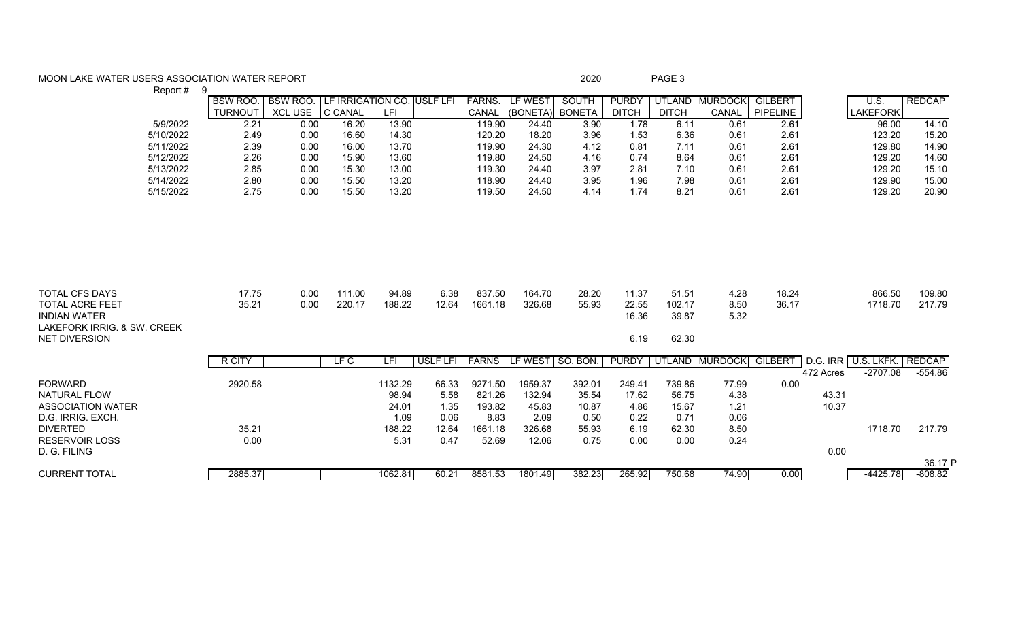## MOON LAKE WATER USERS ASSOCIATION WATER REPORT **Example 200** 2020 2020 PAGE 3

|                             | Report #  | -9             |                 |                            |         |          |               |                 |               |              |              |                |                |           |                     |               |
|-----------------------------|-----------|----------------|-----------------|----------------------------|---------|----------|---------------|-----------------|---------------|--------------|--------------|----------------|----------------|-----------|---------------------|---------------|
|                             |           | <b>BSW ROO</b> | BSW ROO.        | LF IRRIGATION CO. USLF LFI |         |          | <b>FARNS.</b> | LF WEST         | <b>SOUTH</b>  | <b>PURDY</b> |              | UTLAND MURDOCK | <b>GILBERT</b> |           | U.S.                | <b>REDCAP</b> |
|                             |           | <b>TURNOUT</b> | XCL USE C CANAL |                            | LFI     |          | CANAL         | (BONETA)        | <b>BONETA</b> | <b>DITCH</b> | <b>DITCH</b> | CANAL          | PIPELINE       |           | <b>LAKEFORK</b>     |               |
|                             | 5/9/2022  | 2.21           | 0.00            | 16.20                      | 13.90   |          | 119.90        | 24.40           | 3.90          | 1.78         | 6.11         | 0.61           | 2.61           |           | 96.00               | 14.10         |
|                             | 5/10/2022 | 2.49           | 0.00            | 16.60                      | 14.30   |          | 120.20        | 18.20           | 3.96          | 1.53         | 6.36         | 0.61           | 2.61           |           | 123.20              | 15.20         |
|                             | 5/11/2022 | 2.39           | 0.00            | 16.00                      | 13.70   |          | 119.90        | 24.30           | 4.12          | 0.81         | 7.11         | 0.61           | 2.61           |           | 129.80              | 14.90         |
|                             | 5/12/2022 | 2.26           | 0.00            | 15.90                      | 13.60   |          | 119.80        | 24.50           | 4.16          | 0.74         | 8.64         | 0.61           | 2.61           |           | 129.20              | 14.60         |
|                             | 5/13/2022 | 2.85           | 0.00            | 15.30                      | 13.00   |          | 119.30        | 24.40           | 3.97          | 2.81         | 7.10         | 0.61           | 2.61           |           | 129.20              | 15.10         |
|                             | 5/14/2022 | 2.80           | 0.00            | 15.50                      | 13.20   |          | 118.90        | 24.40           | 3.95          | 1.96         | 7.98         | 0.61           | 2.61           |           | 129.90              | 15.00         |
|                             | 5/15/2022 | 2.75           | 0.00            | 15.50                      | 13.20   |          | 119.50        | 24.50           | 4.14          | 1.74         | 8.21         | 0.61           | 2.61           |           | 129.20              | 20.90         |
|                             |           |                |                 |                            |         |          |               |                 |               |              |              |                |                |           |                     |               |
|                             |           |                |                 |                            |         |          |               |                 |               |              |              |                |                |           |                     |               |
|                             |           |                |                 |                            |         |          |               |                 |               |              |              |                |                |           |                     |               |
|                             |           |                |                 |                            |         |          |               |                 |               |              |              |                |                |           |                     |               |
|                             |           |                |                 |                            |         |          |               |                 |               |              |              |                |                |           |                     |               |
|                             |           |                |                 |                            |         |          |               |                 |               |              |              |                |                |           |                     |               |
|                             |           |                |                 |                            |         |          |               |                 |               |              |              |                |                |           |                     |               |
| <b>TOTAL CFS DAYS</b>       |           | 17.75          | 0.00            | 111.00                     | 94.89   | 6.38     | 837.50        | 164.70          | 28.20         | 11.37        | 51.51        | 4.28           | 18.24          |           | 866.50              | 109.80        |
| <b>TOTAL ACRE FEET</b>      |           | 35.21          | 0.00            | 220.17                     | 188.22  | 12.64    | 1661.18       | 326.68          | 55.93         | 22.55        | 102.17       | 8.50           | 36.17          |           | 1718.70             | 217.79        |
| <b>INDIAN WATER</b>         |           |                |                 |                            |         |          |               |                 |               | 16.36        | 39.87        | 5.32           |                |           |                     |               |
| LAKEFORK IRRIG. & SW. CREEK |           |                |                 |                            |         |          |               |                 |               |              |              |                |                |           |                     |               |
| <b>NET DIVERSION</b>        |           |                |                 |                            |         |          |               |                 |               | 6.19         | 62.30        |                |                |           |                     |               |
|                             |           | R CITY         |                 | LF C                       | LFI     | USLF LFI | <b>FARNS</b>  | LF WEST SO. BON |               | <b>PURDY</b> |              | UTLAND MURDOCK | <b>GILBERT</b> |           | D.G. IRR U.S. LKFK. | <b>REDCAP</b> |
|                             |           |                |                 |                            |         |          |               |                 |               |              |              |                |                | 472 Acres | $-2707.08$          | $-554.86$     |
| <b>FORWARD</b>              |           | 2920.58        |                 |                            | 1132.29 | 66.33    | 9271.50       | 1959.37         | 392.01        | 249.41       | 739.86       | 77.99          | 0.00           |           |                     |               |
| <b>NATURAL FLOW</b>         |           |                |                 |                            | 98.94   | 5.58     | 821.26        | 132.94          | 35.54         | 17.62        | 56.75        | 4.38           |                | 43.31     |                     |               |
| <b>ASSOCIATION WATER</b>    |           |                |                 |                            | 24.01   | 1.35     | 193.82        | 45.83           | 10.87         | 4.86         | 15.67        | 1.21           |                | 10.37     |                     |               |
| D.G. IRRIG. EXCH.           |           |                |                 |                            | 1.09    | 0.06     | 8.83          | 2.09            | 0.50          | 0.22         | 0.71         | 0.06           |                |           |                     |               |
| <b>DIVERTED</b>             |           | 35.21          |                 |                            | 188.22  | 12.64    | 1661.18       | 326.68          | 55.93         | 6.19         | 62.30        | 8.50           |                |           | 1718.70             | 217.79        |
| <b>RESERVOIR LOSS</b>       |           | 0.00           |                 |                            | 5.31    | 0.47     | 52.69         | 12.06           | 0.75          | 0.00         | 0.00         | 0.24           |                |           |                     |               |
| D. G. FILING                |           |                |                 |                            |         |          |               |                 |               |              |              |                |                | 0.00      |                     |               |
|                             |           |                |                 |                            |         |          |               |                 |               |              |              |                |                |           |                     | 36.17 P       |
| <b>CURRENT TOTAL</b>        |           | 2885.37        |                 |                            | 1062.81 | 60.21    | 8581.53       | 1801.49         | 382.23        | 265.92       | 750.68       | 74.90          | 0.00           |           | $-4425.78$          | $-808.82$     |